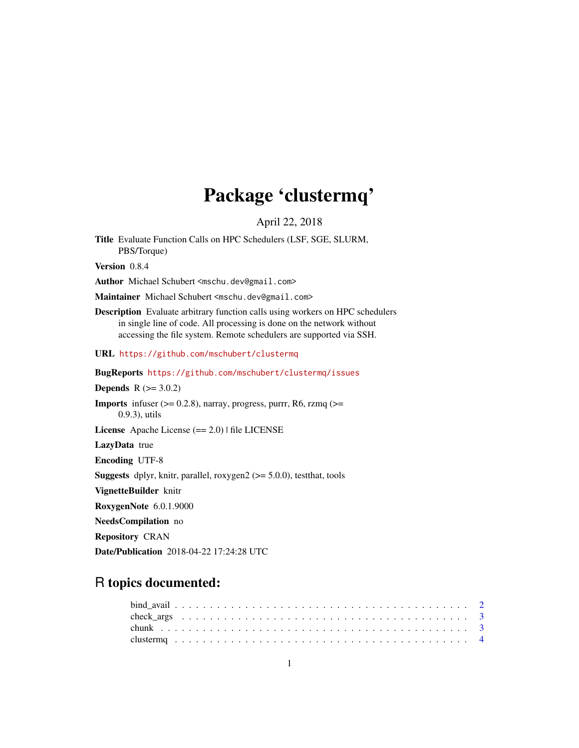# Package 'clustermq'

April 22, 2018

Title Evaluate Function Calls on HPC Schedulers (LSF, SGE, SLURM, PBS/Torque)

Version 0.8.4

Author Michael Schubert <mschu.dev@gmail.com>

Maintainer Michael Schubert <mschu.dev@gmail.com>

Description Evaluate arbitrary function calls using workers on HPC schedulers in single line of code. All processing is done on the network without accessing the file system. Remote schedulers are supported via SSH.

URL <https://github.com/mschubert/clustermq>

BugReports <https://github.com/mschubert/clustermq/issues>

**Depends**  $R (= 3.0.2)$ 

**Imports** infuser  $(>= 0.2.8)$ , narray, progress, purrr, R6, rzmq  $(>= 1.2.8)$ 0.9.3), utils

License Apache License (== 2.0) | file LICENSE

LazyData true

Encoding UTF-8

**Suggests** dplyr, knitr, parallel, roxygen $2$  ( $>= 5.0.0$ ), test that, tools

VignetteBuilder knitr

RoxygenNote 6.0.1.9000

NeedsCompilation no

Repository CRAN

Date/Publication 2018-04-22 17:24:28 UTC

# R topics documented: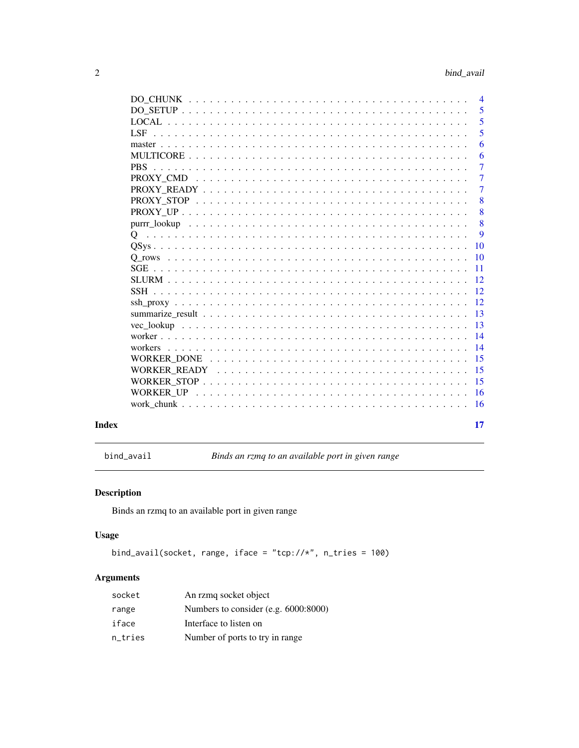<span id="page-1-0"></span>

|       |      | $\overline{4}$  |
|-------|------|-----------------|
|       |      | 5               |
|       |      | 5               |
|       | LSF. | 5               |
|       |      | 6               |
|       |      | 6               |
|       |      | $\overline{7}$  |
|       |      | $\overline{7}$  |
|       |      | $\overline{7}$  |
|       |      | 8               |
|       |      | 8               |
|       |      | 8               |
|       |      | 9               |
|       |      | 10              |
|       |      |                 |
|       |      | $\overline{11}$ |
|       |      |                 |
|       |      |                 |
|       |      |                 |
|       |      | -13             |
|       |      |                 |
|       |      | $\sqrt{14}$     |
|       |      |                 |
|       |      | 15              |
|       |      |                 |
|       |      | -15             |
|       |      |                 |
|       |      |                 |
| Index |      | 17              |

bind\_avail *Binds an rzmq to an available port in given range*

# Description

Binds an rzmq to an available port in given range

# Usage

```
bind_avail(socket, range, iface = "tcp://*", n_tries = 100)
```
# Arguments

| socket  | An rzmą socket object                |
|---------|--------------------------------------|
| range   | Numbers to consider (e.g. 6000:8000) |
| iface   | Interface to listen on               |
| n tries | Number of ports to try in range      |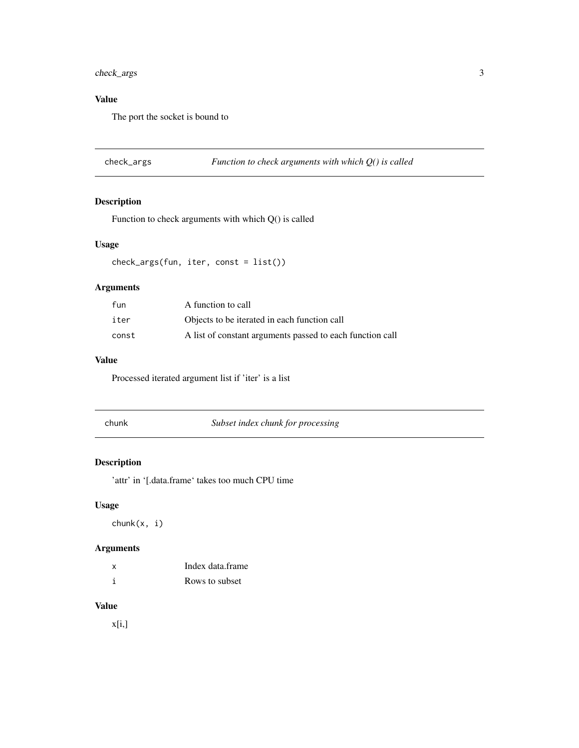# <span id="page-2-0"></span>check\_args 3

# Value

The port the socket is bound to

check\_args *Function to check arguments with which Q() is called*

# Description

Function to check arguments with which Q() is called

# Usage

check\_args(fun, iter, const = list())

# Arguments

| fun   | A function to call                                        |
|-------|-----------------------------------------------------------|
| iter  | Objects to be iterated in each function call              |
| const | A list of constant arguments passed to each function call |

# Value

Processed iterated argument list if 'iter' is a list

| ur |  |
|----|--|
|    |  |

**Subset index chunk for processing** 

# Description

'attr' in '[.data.frame' takes too much CPU time

# Usage

chunk(x, i)

# Arguments

| x | Index data frame |
|---|------------------|
|   | Rows to subset   |

#### Value

x[i,]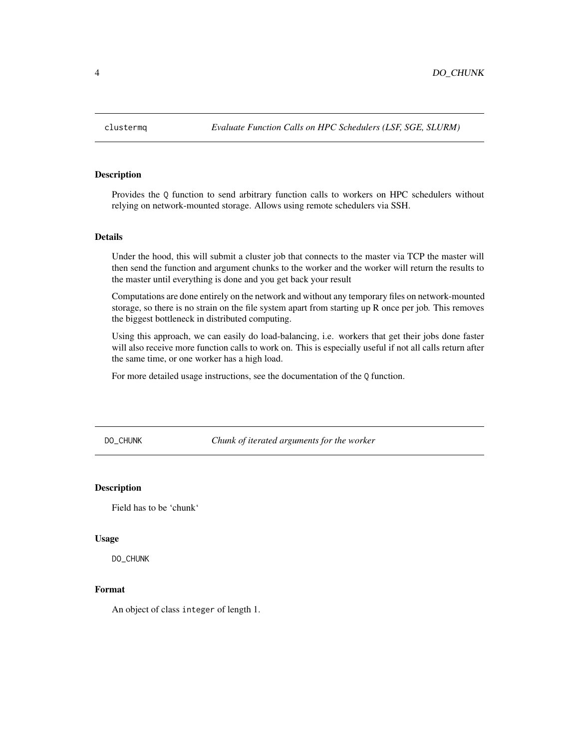<span id="page-3-0"></span>

Provides the Q function to send arbitrary function calls to workers on HPC schedulers without relying on network-mounted storage. Allows using remote schedulers via SSH.

#### Details

Under the hood, this will submit a cluster job that connects to the master via TCP the master will then send the function and argument chunks to the worker and the worker will return the results to the master until everything is done and you get back your result

Computations are done entirely on the network and without any temporary files on network-mounted storage, so there is no strain on the file system apart from starting up R once per job. This removes the biggest bottleneck in distributed computing.

Using this approach, we can easily do load-balancing, i.e. workers that get their jobs done faster will also receive more function calls to work on. This is especially useful if not all calls return after the same time, or one worker has a high load.

For more detailed usage instructions, see the documentation of the Q function.

DO\_CHUNK *Chunk of iterated arguments for the worker*

#### **Description**

Field has to be 'chunk'

#### Usage

DO\_CHUNK

#### Format

An object of class integer of length 1.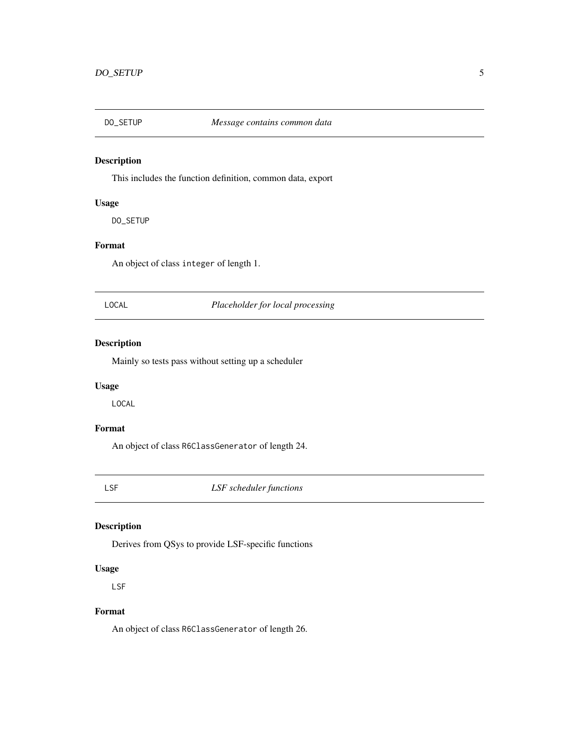<span id="page-4-0"></span>

This includes the function definition, common data, export

### Usage

DO\_SETUP

# Format

An object of class integer of length 1.

LOCAL *Placeholder for local processing*

# Description

Mainly so tests pass without setting up a scheduler

### Usage

LOCAL

# Format

An object of class R6ClassGenerator of length 24.

LSF *LSF scheduler functions*

### Description

Derives from QSys to provide LSF-specific functions

# Usage

LSF

#### Format

An object of class R6ClassGenerator of length 26.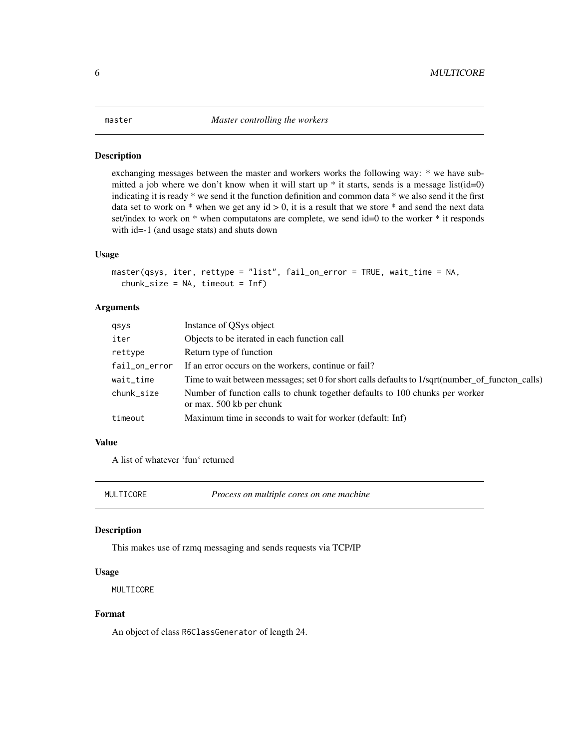<span id="page-5-0"></span>

exchanging messages between the master and workers works the following way: \* we have submitted a job where we don't know when it will start up  $*$  it starts, sends is a message list(id=0) indicating it is ready \* we send it the function definition and common data \* we also send it the first data set to work on  $*$  when we get any id  $> 0$ , it is a result that we store  $*$  and send the next data set/index to work on \* when computatons are complete, we send id=0 to the worker \* it responds with id=-1 (and usage stats) and shuts down

#### Usage

```
master(qsys, iter, rettype = "list", fail_on_error = TRUE, wait_time = NA,
  chunk_size = NA, timeout = Inf)
```
# Arguments

| qsys          | Instance of QSys object                                                                                  |
|---------------|----------------------------------------------------------------------------------------------------------|
| iter          | Objects to be iterated in each function call                                                             |
| rettype       | Return type of function                                                                                  |
| fail_on_error | If an error occurs on the workers, continue or fail?                                                     |
| wait_time     | Time to wait between messages; set 0 for short calls defaults to 1/sqrt(number of functon calls)         |
| chunk_size    | Number of function calls to chunk together defaults to 100 chunks per worker<br>or max. 500 kb per chunk |
| timeout       | Maximum time in seconds to wait for worker (default: Inf)                                                |

# Value

A list of whatever 'fun' returned

MULTICORE *Process on multiple cores on one machine*

#### Description

This makes use of rzmq messaging and sends requests via TCP/IP

#### Usage

MULTICORE

#### Format

An object of class R6ClassGenerator of length 24.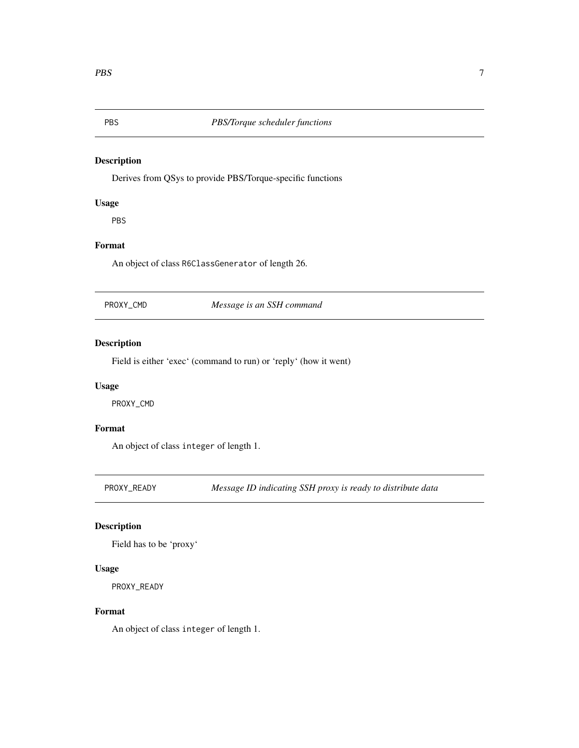<span id="page-6-0"></span>

Derives from QSys to provide PBS/Torque-specific functions

# Usage

PBS

# Format

An object of class R6ClassGenerator of length 26.

PROXY\_CMD *Message is an SSH command*

# Description

Field is either 'exec' (command to run) or 'reply' (how it went)

# Usage

PROXY\_CMD

# Format

An object of class integer of length 1.

PROXY\_READY *Message ID indicating SSH proxy is ready to distribute data*

### Description

Field has to be 'proxy'

#### Usage

PROXY\_READY

#### Format

An object of class integer of length 1.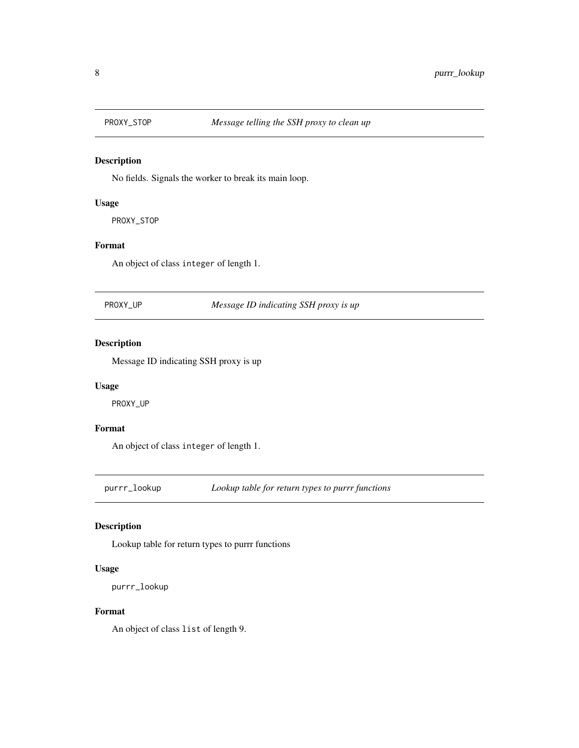<span id="page-7-0"></span>

No fields. Signals the worker to break its main loop.

### Usage

PROXY\_STOP

# Format

An object of class integer of length 1.

PROXY\_UP *Message ID indicating SSH proxy is up*

# Description

Message ID indicating SSH proxy is up

#### Usage

PROXY\_UP

#### Format

An object of class integer of length 1.

purrr\_lookup *Lookup table for return types to purrr functions*

#### Description

Lookup table for return types to purrr functions

#### Usage

purrr\_lookup

#### Format

An object of class list of length 9.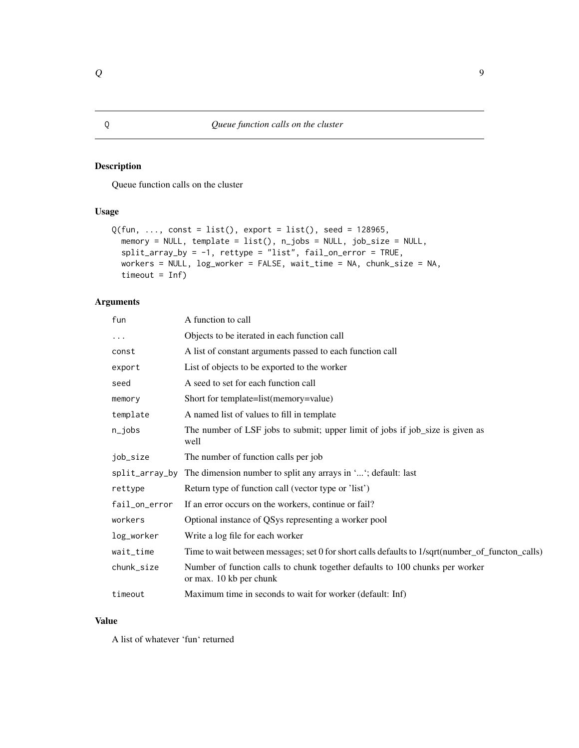<span id="page-8-0"></span>Queue function calls on the cluster

#### Usage

```
Q(fun, ..., const = list(), export = list(), seed = 128965,memory = NULL, template = list(), n_jobs = NULL, job_size = NULL,
  split_array_by = -1, rettype = "list", fail_on_error = TRUE,
 workers = NULL, log_worker = FALSE, wait_time = NA, chunk_size = NA,
  timeout = Inf)
```
# Arguments

| fun            | A function to call                                                                                      |
|----------------|---------------------------------------------------------------------------------------------------------|
| $\cdots$       | Objects to be iterated in each function call                                                            |
| const          | A list of constant arguments passed to each function call                                               |
| export         | List of objects to be exported to the worker                                                            |
| seed           | A seed to set for each function call                                                                    |
| memory         | Short for template=list(memory=value)                                                                   |
| template       | A named list of values to fill in template                                                              |
| $n$ _jobs      | The number of LSF jobs to submit; upper limit of jobs if job_size is given as<br>well                   |
| job_size       | The number of function calls per job                                                                    |
| split_array_by | The dimension number to split any arrays in ''; default: last                                           |
| rettype        | Return type of function call (vector type or 'list')                                                    |
| fail_on_error  | If an error occurs on the workers, continue or fail?                                                    |
| workers        | Optional instance of QSys representing a worker pool                                                    |
| log_worker     | Write a log file for each worker                                                                        |
| wait_time      | Time to wait between messages; set 0 for short calls defaults to 1/sqrt(number_of_functon_calls)        |
| chunk_size     | Number of function calls to chunk together defaults to 100 chunks per worker<br>or max. 10 kb per chunk |
| timeout        | Maximum time in seconds to wait for worker (default: Inf)                                               |
|                |                                                                                                         |

### Value

A list of whatever 'fun' returned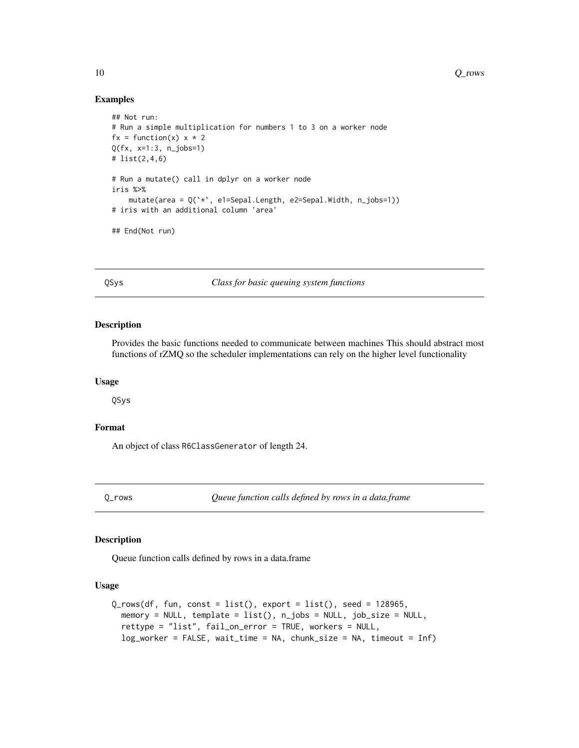<span id="page-9-0"></span>10 Q\_rows 20 Q\_rows 20 Q\_rows 20 Q\_rows 20 Q\_rows 20 Q\_rows 20 Q\_rows 20 Q\_rows 20 Q\_rows 20 Q\_rows 20 Q\_rows 20 Q\_rows 20 Q\_rows 20 Q\_rows 20 Q\_rows 20 Q\_rows 20 Q\_rows 20 Q\_rows 20 Q\_rows 20 Q\_rows 20 Q\_rows 20 Q\_rows 20

#### Examples

```
## Not run:
# Run a simple multiplication for numbers 1 to 3 on a worker node
fx = function(x) x * 2Q(fx, x=1:3, n_jobs=1)
# list(2,4,6)
# Run a mutate() call in dplyr on a worker node
iris %>%
    mutate(area = Q(`*`, e1=Sepal.Length, e2=Sepal.Width, n_jobs=1))
# iris with an additional column 'area'
## End(Not run)
```
QSys *Class for basic queuing system functions*

#### Description

Provides the basic functions needed to communicate between machines This should abstract most functions of rZMQ so the scheduler implementations can rely on the higher level functionality

#### Usage

QSys

# Format

An object of class R6ClassGenerator of length 24.

Q\_rows *Queue function calls defined by rows in a data.frame*

# Description

Queue function calls defined by rows in a data.frame

#### Usage

```
Q_{rows}(df, fun, const = list(), export = list(), seed = 128965,memory = NULL, template = list(), n_jobs = NULL, job_size = NULL,
  rettype = "list", fail_on_error = TRUE, workers = NULL,
  log_worker = FALSE, wait_time = NA, chunk_size = NA, timeout = Inf)
```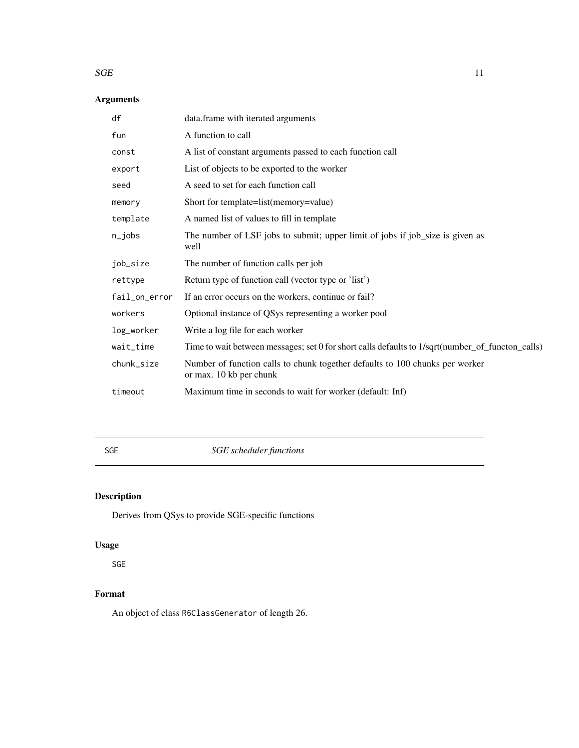#### <span id="page-10-0"></span> $SGE$  11

# Arguments

| df            | data.frame with iterated arguments                                                                      |
|---------------|---------------------------------------------------------------------------------------------------------|
| fun           | A function to call                                                                                      |
| const         | A list of constant arguments passed to each function call                                               |
| export        | List of objects to be exported to the worker                                                            |
| seed          | A seed to set for each function call                                                                    |
| memory        | Short for template=list(memory=value)                                                                   |
| template      | A named list of values to fill in template                                                              |
| $n$ _jobs     | The number of LSF jobs to submit; upper limit of jobs if job_size is given as<br>well                   |
| job_size      | The number of function calls per job                                                                    |
| rettype       | Return type of function call (vector type or 'list')                                                    |
| fail_on_error | If an error occurs on the workers, continue or fail?                                                    |
| workers       | Optional instance of QSys representing a worker pool                                                    |
| log_worker    | Write a log file for each worker                                                                        |
| wait_time     | Time to wait between messages; set 0 for short calls defaults to 1/sqrt(number_of_functon_calls)        |
| chunk_size    | Number of function calls to chunk together defaults to 100 chunks per worker<br>or max. 10 kb per chunk |
| timeout       | Maximum time in seconds to wait for worker (default: Inf)                                               |
|               |                                                                                                         |

SGE *SGE scheduler functions*

# Description

Derives from QSys to provide SGE-specific functions

# Usage

SGE

# Format

An object of class R6ClassGenerator of length 26.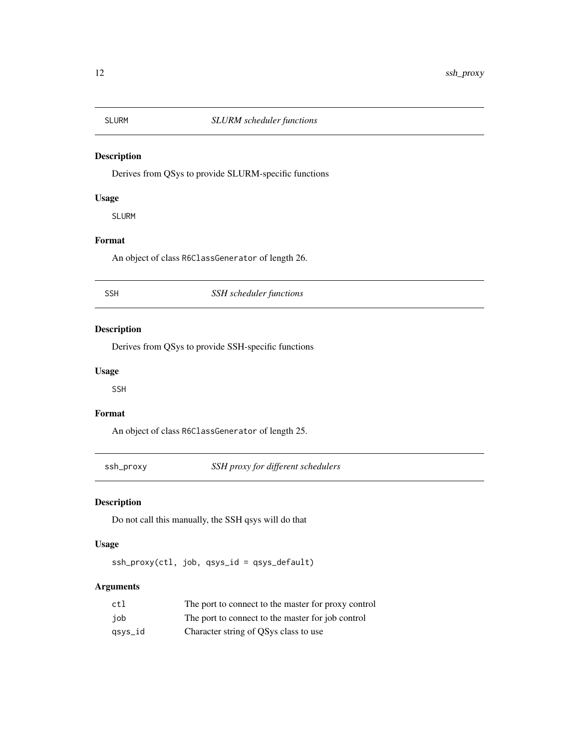<span id="page-11-0"></span>

Derives from QSys to provide SLURM-specific functions

# Usage

SLURM

# Format

An object of class R6ClassGenerator of length 26.

# SSH *SSH scheduler functions*

# Description

Derives from QSys to provide SSH-specific functions

#### Usage

SSH

#### Format

An object of class R6ClassGenerator of length 25.

ssh\_proxy *SSH proxy for different schedulers*

# Description

Do not call this manually, the SSH qsys will do that

# Usage

ssh\_proxy(ctl, job, qsys\_id = qsys\_default)

# Arguments

| ctl     | The port to connect to the master for proxy control |
|---------|-----------------------------------------------------|
| iob     | The port to connect to the master for job control   |
| qsys_id | Character string of QSys class to use               |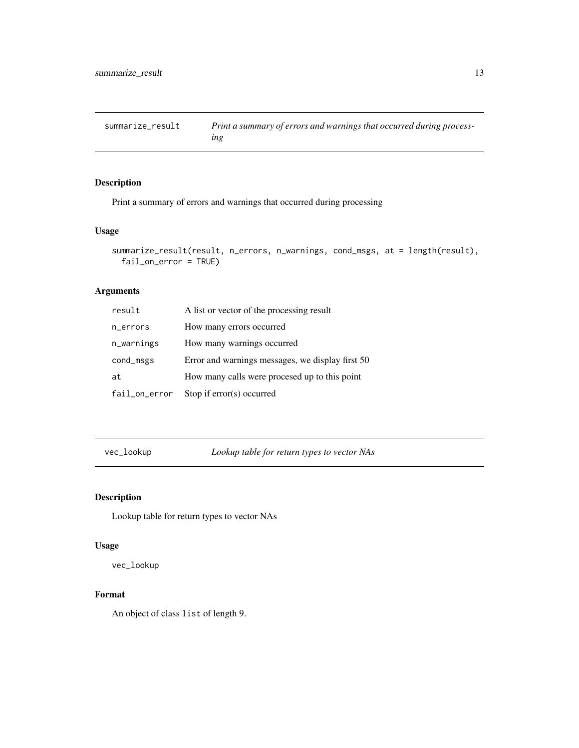<span id="page-12-0"></span>summarize\_result *Print a summary of errors and warnings that occurred during processing*

# Description

Print a summary of errors and warnings that occurred during processing

# Usage

```
summarize_result(result, n_errors, n_warnings, cond_msgs, at = length(result),
 fail_on_error = TRUE)
```
# Arguments

| result        | A list or vector of the processing result        |
|---------------|--------------------------------------------------|
| n_errors      | How many errors occurred                         |
| n_warnings    | How many warnings occurred                       |
| cond_msgs     | Error and warnings messages, we display first 50 |
| at            | How many calls were procesed up to this point    |
| fail_on_error | Stop if $error(s)$ occurred                      |

vec\_lookup *Lookup table for return types to vector NAs*

# Description

Lookup table for return types to vector NAs

#### Usage

vec\_lookup

#### Format

An object of class list of length 9.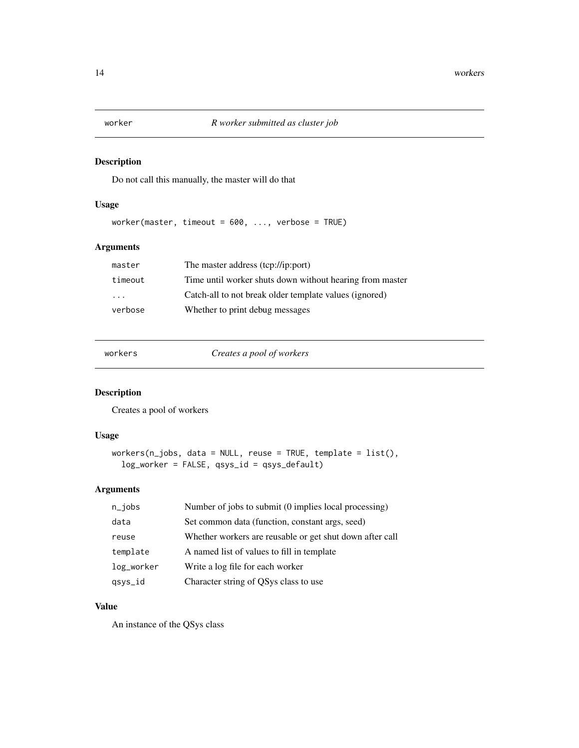<span id="page-13-0"></span>Do not call this manually, the master will do that

# Usage

worker(master, timeout = 600, ..., verbose = TRUE)

# Arguments

| master                  | The master address (tcp://ip:port)                       |
|-------------------------|----------------------------------------------------------|
| timeout                 | Time until worker shuts down without hearing from master |
| $\cdot$ $\cdot$ $\cdot$ | Catch-all to not break older template values (ignored)   |
| verbose                 | Whether to print debug messages                          |

workers *Creates a pool of workers*

# Description

Creates a pool of workers

# Usage

```
workers(n_jobs, data = NULL, reuse = TRUE, template = list(),
 log_worker = FALSE, qsys_id = qsys_default)
```
# Arguments

| $n$ _jobs  | Number of jobs to submit (0 implies local processing)    |
|------------|----------------------------------------------------------|
| data       | Set common data (function, constant args, seed)          |
| reuse      | Whether workers are reusable or get shut down after call |
| template   | A named list of values to fill in template               |
| log_worker | Write a log file for each worker                         |
| qsys_id    | Character string of QSys class to use                    |

### Value

An instance of the QSys class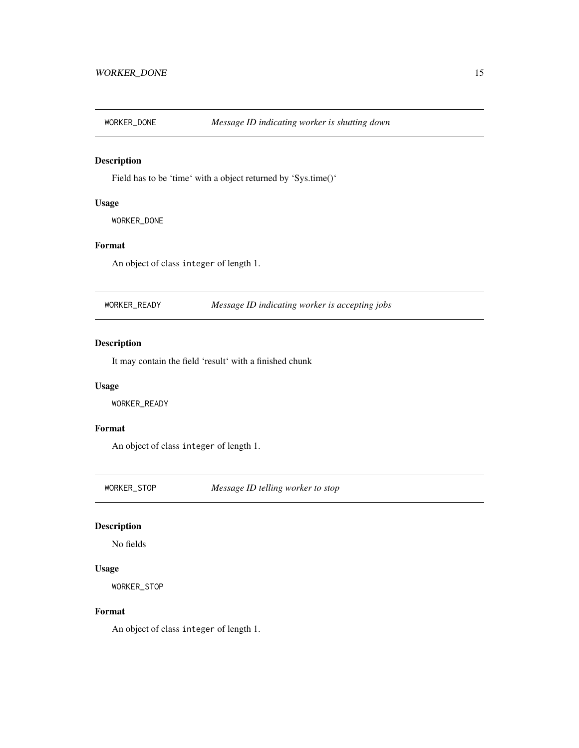<span id="page-14-0"></span>

Field has to be 'time' with a object returned by 'Sys.time()'

### Usage

WORKER\_DONE

# Format

An object of class integer of length 1.

| WORKER READY | Message ID indicating worker is accepting jobs |  |
|--------------|------------------------------------------------|--|
|--------------|------------------------------------------------|--|

# Description

It may contain the field 'result' with a finished chunk

# Usage

WORKER\_READY

#### Format

An object of class integer of length 1.

WORKER\_STOP *Message ID telling worker to stop*

### Description

No fields

#### Usage

WORKER\_STOP

#### Format

An object of class integer of length 1.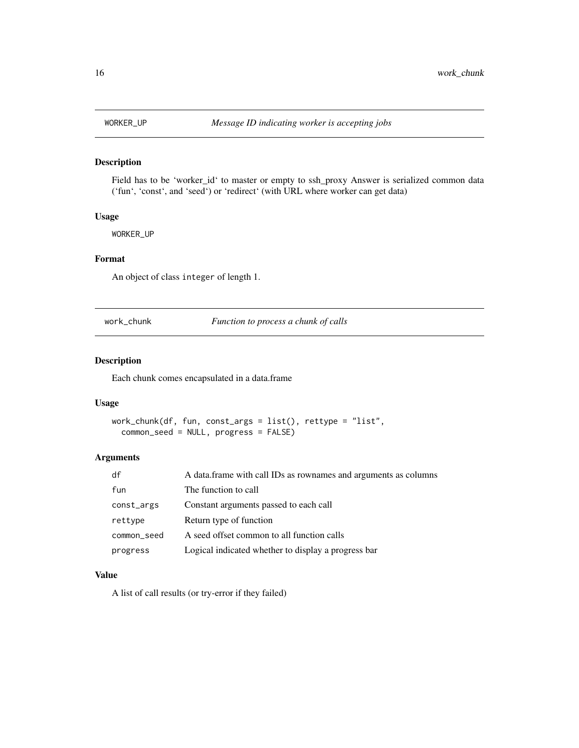<span id="page-15-0"></span>

Field has to be 'worker\_id' to master or empty to ssh\_proxy Answer is serialized common data ('fun', 'const', and 'seed') or 'redirect' (with URL where worker can get data)

#### Usage

WORKER\_UP

#### Format

An object of class integer of length 1.

work\_chunk *Function to process a chunk of calls*

# Description

Each chunk comes encapsulated in a data.frame

#### Usage

```
work_chunk(df, fun, const_args = list(), rettype = "list",
  common_seed = NULL, progress = FALSE)
```
#### Arguments

| df          | A data. frame with call IDs as rownames and arguments as columns |
|-------------|------------------------------------------------------------------|
| fun         | The function to call                                             |
| const_args  | Constant arguments passed to each call                           |
| rettype     | Return type of function                                          |
| common_seed | A seed offset common to all function calls                       |
| progress    | Logical indicated whether to display a progress bar              |

#### Value

A list of call results (or try-error if they failed)